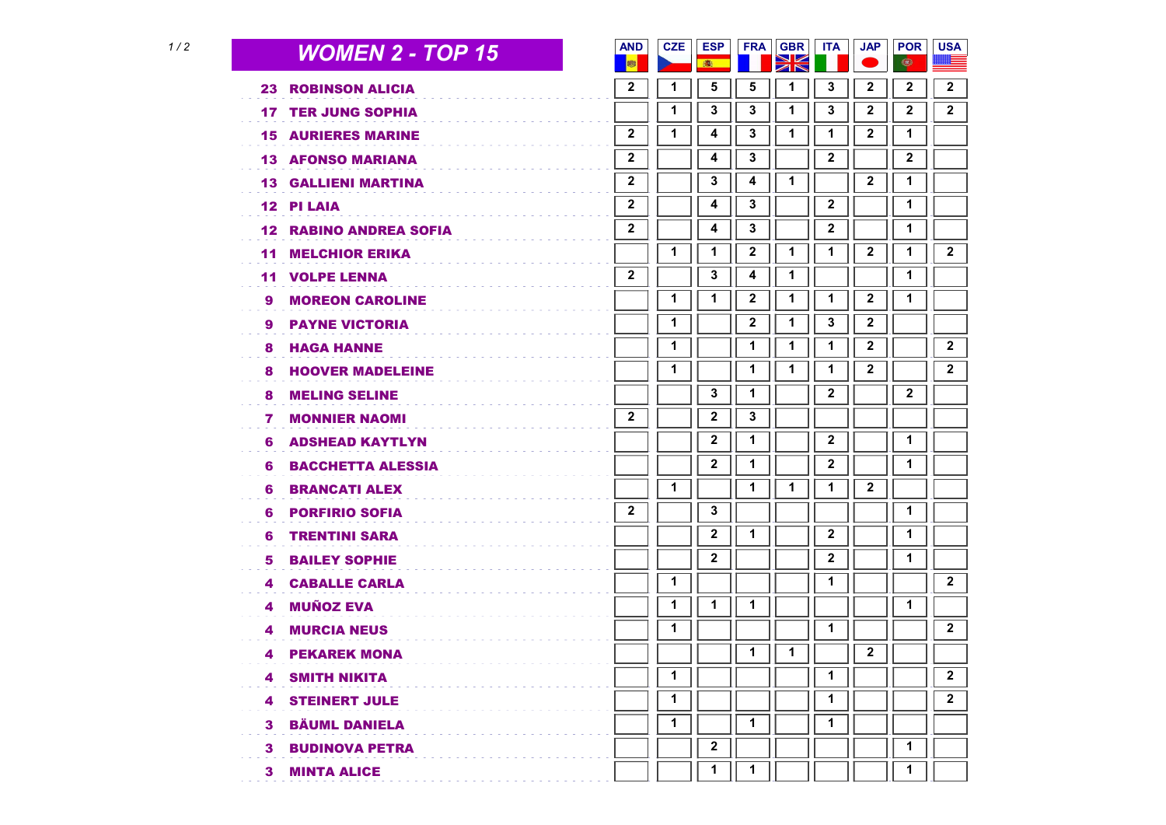| 1/2 |     | <b>WOMEN 2 - TOP 15</b>       | <b>AND</b><br>哪  | <b>CZE</b>  | <b>ESP</b><br>● | <b>FRA</b> | <b>GBR</b><br>XK | <b>ITA</b>   | <b>JAP</b>   | <b>POR</b><br>$\bigcirc$ | <b>USA</b>   |
|-----|-----|-------------------------------|------------------|-------------|-----------------|------------|------------------|--------------|--------------|--------------------------|--------------|
|     | 23  | <b>ROBINSON ALICIA</b>        | $\mathbf{2}$     | 1           | 5               | 5          | 1                | 3            | 2            | 2                        | 2            |
|     |     | <b>17 TER JUNG SOPHIA</b>     |                  | 1           | 3               | 3          | 1                | 3            | 2            | 2                        | $\mathbf{2}$ |
|     |     | <b>15 AURIERES MARINE</b>     | $\mathbf{2}$     | 1           | 4               | 3          | 1                | 1            | 2            | 1                        |              |
|     |     | <b>13 AFONSO MARIANA</b>      | $\mathbf{2}$     |             | 4               | 3          |                  | $\mathbf{2}$ |              | $\mathbf{2}$             |              |
|     |     | <b>13 GALLIENI MARTINA</b>    | $\mathbf 2$      |             | 3               | 4          | 1                |              | $\mathbf{2}$ | 1                        |              |
|     |     | <b>12 PI LAIA</b>             | $\mathbf 2$      |             | 4               | 3          |                  | 2            |              | 1                        |              |
|     |     | <b>12 RABINO ANDREA SOFIA</b> | $\boldsymbol{2}$ |             | 4               | 3          |                  | 2            |              | 1                        |              |
|     | 11. | <b>MELCHIOR ERIKA</b>         |                  | 1           | 1               | 2          | 1                | 1            | $\mathbf{2}$ | 1                        | $\mathbf{2}$ |
|     | 11  | <b>VOLPE LENNA</b>            | $\mathbf{2}$     |             | 3               | 4          | 1                |              |              | 1                        |              |
|     | 9   | <b>MOREON CAROLINE</b>        |                  | 1           | 1               | 2          | 1                | 1            | 2            | 1                        |              |
|     | 9.  | <b>PAYNE VICTORIA</b>         |                  | 1           |                 | 2          | 1                | 3            | 2            |                          |              |
|     | 8.  | <b>HAGA HANNE</b>             |                  | 1           |                 | 1          | 1                | 1            | 2            |                          | $\mathbf 2$  |
|     | 8   | <b>HOOVER MADELEINE</b>       |                  | 1           |                 | 1          | 1                | 1            | 2            |                          | $\mathbf{2}$ |
|     | 8   | <b>MELING SELINE</b>          |                  |             | 3               | 1          |                  | $\mathbf{2}$ |              | $\mathbf{2}$             |              |
|     | 7   | <b>MONNIER NAOMI</b>          | $\mathbf{2}$     |             | 2               | 3          |                  |              |              |                          |              |
|     | 6   | <b>ADSHEAD KAYTLYN</b>        |                  |             | 2               | 1          |                  | $\mathbf 2$  |              | $\mathbf{1}$             |              |
|     | 6   | <b>BACCHETTA ALESSIA</b>      |                  |             | $\mathbf 2$     | 1          |                  | $\mathbf 2$  |              | 1                        |              |
|     | 6   | <b>BRANCATI ALEX</b>          |                  | $\mathbf 1$ |                 | 1          | 1                | 1            | 2            |                          |              |
|     | 6   | <b>PORFIRIO SOFIA</b>         | $\mathbf{2}$     |             | 3               |            |                  |              |              | 1                        |              |
|     | 6   | <b>TRENTINI SARA</b>          |                  |             | $\mathbf 2$     | 1          |                  | $\mathbf{2}$ |              | 1                        |              |
|     | 5   | <b>BAILEY SOPHIE</b>          |                  |             | $\mathbf 2$     |            |                  | 2            |              | 1                        |              |
|     | 4   | <b>CABALLE CARLA</b>          |                  | 1           |                 |            |                  | 1            |              |                          | $\mathbf{2}$ |
|     | 4   | <b>MUÑOZ EVA</b>              |                  | 1           | 1               | 1          |                  |              |              | 1                        |              |
|     | 4   | <b>MURCIA NEUS</b>            |                  | 1           |                 |            |                  | 1            |              |                          | $\mathbf{2}$ |
|     | 4   | <b>PEKAREK MONA</b>           |                  |             |                 | 1          | 1                |              | $\mathbf{2}$ |                          |              |
|     |     | <b>4 SMITH NIKITA</b>         |                  | 1           |                 |            |                  | 1            |              |                          | $\mathbf 2$  |
|     |     | <b>4 STEINERT JULE</b>        |                  | 1           |                 |            |                  | 1            |              |                          | $\mathbf{2}$ |
|     | 3   | <b>BÄUML DANIELA</b>          |                  | 1           |                 | 1          |                  | 1            |              |                          |              |
|     |     | <b>3 BUDINOVA PETRA</b>       |                  |             | $\mathbf 2$     |            |                  |              |              | 1                        |              |
|     |     | <b>3 MINTA ALICE</b>          |                  |             | $\mathbf 1$     | 1          |                  |              |              | 1                        |              |